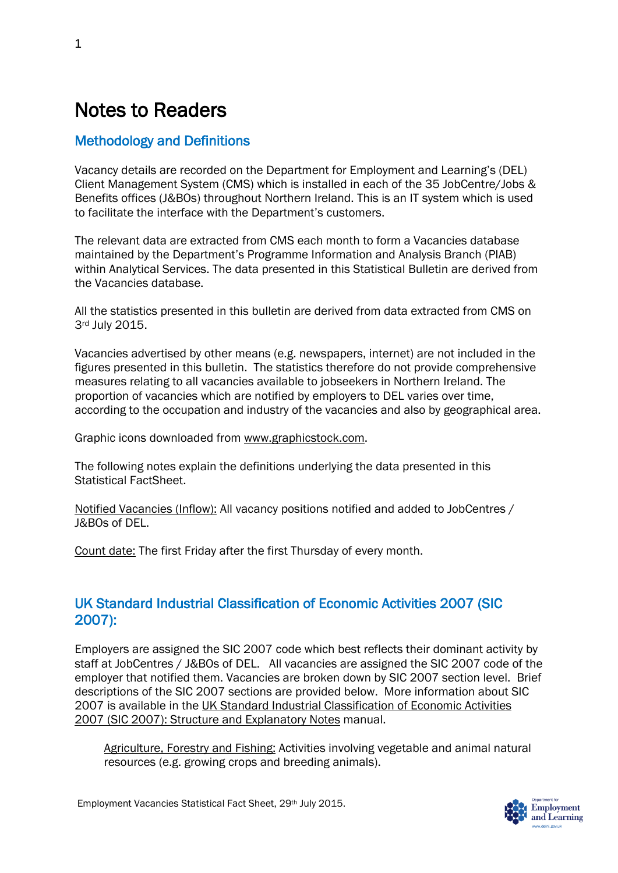# Notes to Readers

# Methodology and Definitions

Vacancy details are recorded on the Department for Employment and Learning's (DEL) Client Management System (CMS) which is installed in each of the 35 JobCentre/Jobs & Benefits offices (J&BOs) throughout Northern Ireland. This is an IT system which is used to facilitate the interface with the Department's customers.

The relevant data are extracted from CMS each month to form a Vacancies database maintained by the Department's Programme Information and Analysis Branch (PIAB) within Analytical Services. The data presented in this Statistical Bulletin are derived from the Vacancies database.

All the statistics presented in this bulletin are derived from data extracted from CMS on 3rd July 2015.

Vacancies advertised by other means (e.g. newspapers, internet) are not included in the figures presented in this bulletin. The statistics therefore do not provide comprehensive measures relating to all vacancies available to jobseekers in Northern Ireland. The proportion of vacancies which are notified by employers to DEL varies over time, according to the occupation and industry of the vacancies and also by geographical area.

Graphic icons downloaded from [www.graphicstock.com.](http://www.graphicstock.com/)

The following notes explain the definitions underlying the data presented in this Statistical FactSheet.

Notified Vacancies (Inflow): All vacancy positions notified and added to JobCentres / J&BOs of DEL.

Count date: The first Friday after the first Thursday of every month.

## UK Standard Industrial Classification of Economic Activities 2007 (SIC 2007):

Employers are assigned the SIC 2007 code which best reflects their dominant activity by staff at JobCentres / J&BOs of DEL. All vacancies are assigned the SIC 2007 code of the employer that notified them. Vacancies are broken down by SIC 2007 section level. Brief descriptions of the SIC 2007 sections are provided below. More information about SIC 2007 is available in the [UK Standard Industrial Classification of Economic Activities](http://www.ons.gov.uk/ons/guide-method/classifications/current-standard-classifications/standard-industrial-classification/index.html)  [2007 \(SIC 2007\): Structure and Explanatory Notes](http://www.ons.gov.uk/ons/guide-method/classifications/current-standard-classifications/standard-industrial-classification/index.html) manual.

Agriculture, Forestry and Fishing: Activities involving vegetable and animal natural resources (e.g. growing crops and breeding animals).

Employment Vacancies Statistical Fact Sheet, 29th July 2015.

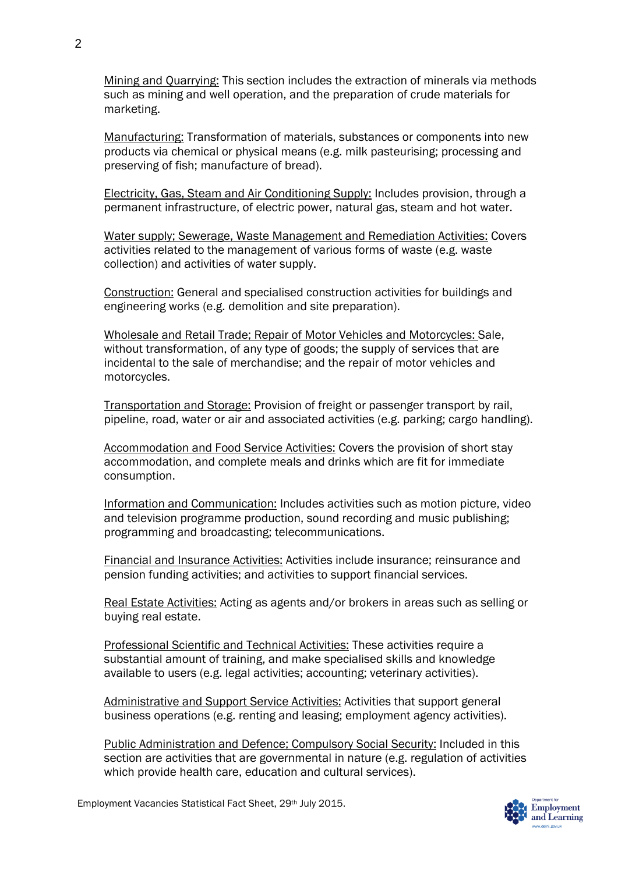Mining and Quarrying: This section includes the extraction of minerals via methods such as mining and well operation, and the preparation of crude materials for marketing.

Manufacturing: Transformation of materials, substances or components into new products via chemical or physical means (e.g. milk pasteurising; processing and preserving of fish; manufacture of bread).

Electricity, Gas, Steam and Air Conditioning Supply: Includes provision, through a permanent infrastructure, of electric power, natural gas, steam and hot water.

Water supply; Sewerage, Waste Management and Remediation Activities: Covers activities related to the management of various forms of waste (e.g. waste collection) and activities of water supply.

Construction: General and specialised construction activities for buildings and engineering works (e.g. demolition and site preparation).

Wholesale and Retail Trade; Repair of Motor Vehicles and Motorcycles: Sale, without transformation, of any type of goods; the supply of services that are incidental to the sale of merchandise; and the repair of motor vehicles and motorcycles.

Transportation and Storage: Provision of freight or passenger transport by rail, pipeline, road, water or air and associated activities (e.g. parking; cargo handling).

Accommodation and Food Service Activities: Covers the provision of short stay accommodation, and complete meals and drinks which are fit for immediate consumption.

Information and Communication: Includes activities such as motion picture, video and television programme production, sound recording and music publishing; programming and broadcasting; telecommunications.

Financial and Insurance Activities: Activities include insurance; reinsurance and pension funding activities; and activities to support financial services.

Real Estate Activities: Acting as agents and/or brokers in areas such as selling or buying real estate.

Professional Scientific and Technical Activities: These activities require a substantial amount of training, and make specialised skills and knowledge available to users (e.g. legal activities; accounting; veterinary activities).

Administrative and Support Service Activities: Activities that support general business operations (e.g. renting and leasing; employment agency activities).

Public Administration and Defence; Compulsory Social Security: Included in this section are activities that are governmental in nature (e.g. regulation of activities which provide health care, education and cultural services).

Employment Vacancies Statistical Fact Sheet, 29th July 2015.

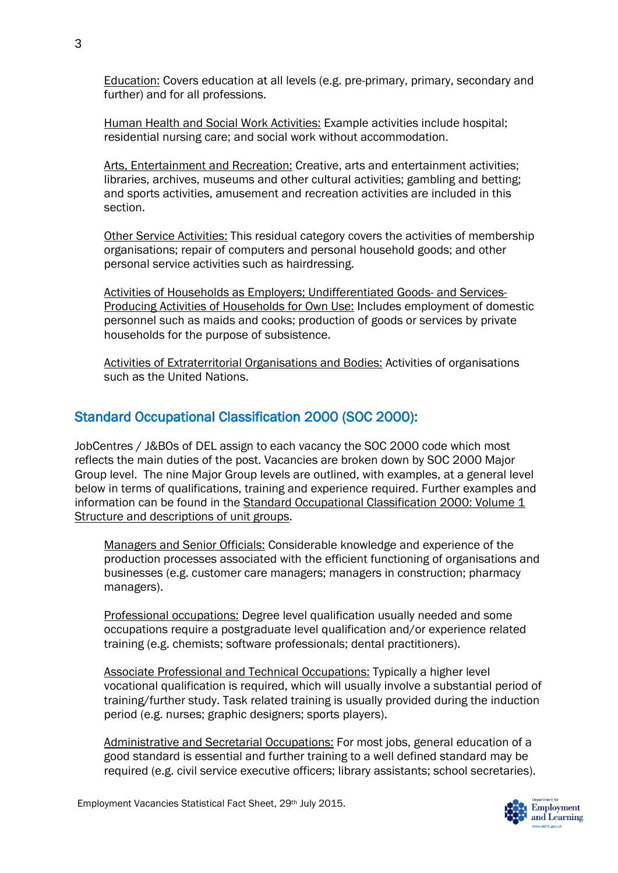Education: Covers education at all levels (e.g. pre-primary, primary, secondary and further) and for all professions.

Human Health and Social Work Activities: Example activities include hospital; residential nursing care; and social work without accommodation.

Arts, Entertainment and Recreation: Creative, arts and entertainment activities; libraries, archives, museums and other cultural activities; gambling and betting; and sports activities, amusement and recreation activities are included in this section.

Other Service Activities: This residual category covers the activities of membership organisations; repair of computers and personal household goods; and other personal service activities such as hairdressing.

Activities of Households as Employers; Undifferentiated Goods- and Services-Producing Activities of Households for Own Use: Includes employment of domestic personnel such as maids and cooks; production of goods or services by private households for the purpose of subsistence.

Activities of Extraterritorial Organisations and Bodies: Activities of organisations such as the United Nations.

### Standard Occupational Classification 2000 (SOC 2000):

JobCentres / J&BOs of DEL assign to each vacancy the SOC 2000 code which most reflects the main duties of the post. Vacancies are broken down by SOC 2000 Major Group level. The nine Major Group levels are outlined, with examples, at a general level below in terms of qualifications, training and experience required. Further examples and information can be found in the [Standard Occupational Classification 2000: Volume 1](http://www.ons.gov.uk/ons/guide-method/classifications/archived-standard-classifications/standard-occupational-classification-2000/dissemination-media-and-availability/index.html)  [Structure and descriptions of unit groups.](http://www.ons.gov.uk/ons/guide-method/classifications/archived-standard-classifications/standard-occupational-classification-2000/dissemination-media-and-availability/index.html)

Managers and Senior Officials: Considerable knowledge and experience of the production processes associated with the efficient functioning of organisations and businesses (e.g. customer care managers; managers in construction; pharmacy managers).

Professional occupations: Degree level qualification usually needed and some occupations require a postgraduate level qualification and/or experience related training (e.g. chemists; software professionals; dental practitioners).

Associate Professional and Technical Occupations: Typically a higher level vocational qualification is required, which will usually involve a substantial period of training/further study. Task related training is usually provided during the induction period (e.g. nurses; graphic designers; sports players).

Administrative and Secretarial Occupations: For most jobs, general education of a good standard is essential and further training to a well defined standard may be required (e.g. civil service executive officers; library assistants; school secretaries).

Employment Vacancies Statistical Fact Sheet, 29th July 2015.